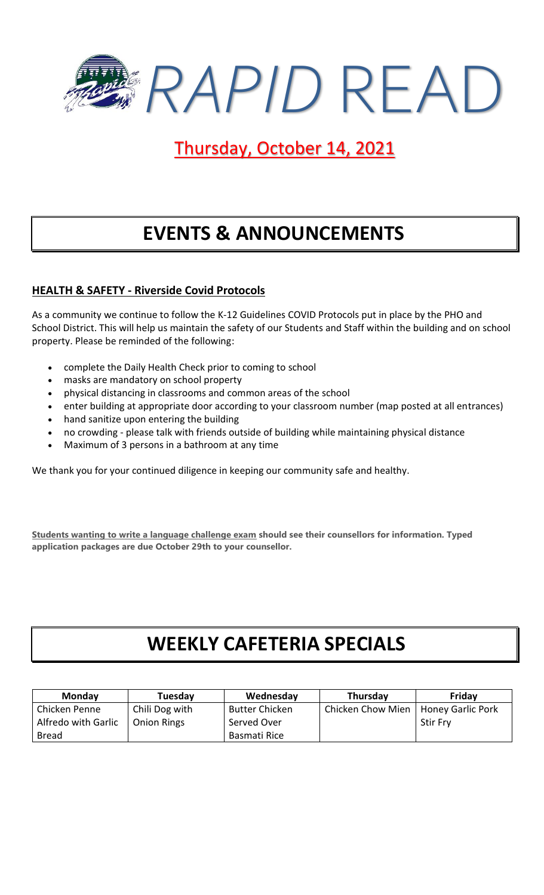

### Thursday, October 14, 2021

## **EVENTS & ANNOUNCEMENTS**

#### **HEALTH & SAFETY - Riverside Covid Protocols**

As a community we continue to follow the K-12 Guidelines COVID Protocols put in place by the PHO and School District. This will help us maintain the safety of our Students and Staff within the building and on school property. Please be reminded of the following:

- complete the Daily Health Check prior to coming to school
- masks are mandatory on school property
- physical distancing in classrooms and common areas of the school
- enter building at appropriate door according to your classroom number (map posted at all entrances)
- hand sanitize upon entering the building
- no crowding please talk with friends outside of building while maintaining physical distance
- Maximum of 3 persons in a bathroom at any time

We thank you for your continued diligence in keeping our community safe and healthy.

**Students wanting to write a language challenge exam should see their counsellors for information. Typed application packages are due October 29th to your counsellor.**

### **WEEKLY CAFETERIA SPECIALS**

| <b>Monday</b>       | Tuesday            | Wednesday             | Thursday          | Fridav                   |
|---------------------|--------------------|-----------------------|-------------------|--------------------------|
| Chicken Penne       | Chili Dog with     | <b>Butter Chicken</b> | Chicken Chow Mien | <b>Honey Garlic Pork</b> |
| Alfredo with Garlic | <b>Onion Rings</b> | Served Over           |                   | <b>Stir Fry</b>          |
| <b>Bread</b>        |                    | Basmati Rice          |                   |                          |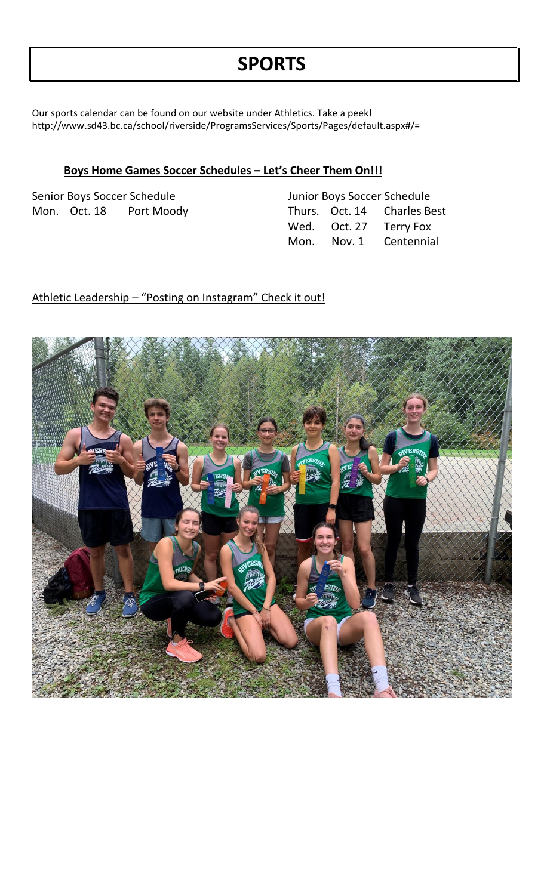## **SPORTS**

Our sports calendar can be found on our website under Athletics. Take a peek! <http://www.sd43.bc.ca/school/riverside/ProgramsServices/Sports/Pages/default.aspx#/=>

#### **Boys Home Games Soccer Schedules – Let's Cheer Them On!!!**

| Senior Boys Soccer Schedule |  | Junior Boys Soccer Schedule |  |  |                             |
|-----------------------------|--|-----------------------------|--|--|-----------------------------|
|                             |  | Mon. Oct. 18 Port Moody     |  |  | Thurs. Oct. 14 Charles Best |
|                             |  |                             |  |  | Wed. Oct. 27 Terry Fox      |
|                             |  |                             |  |  | Mon. Nov. 1 Centennial      |

#### Athletic Leadership – "Posting on Instagram" Check it out!

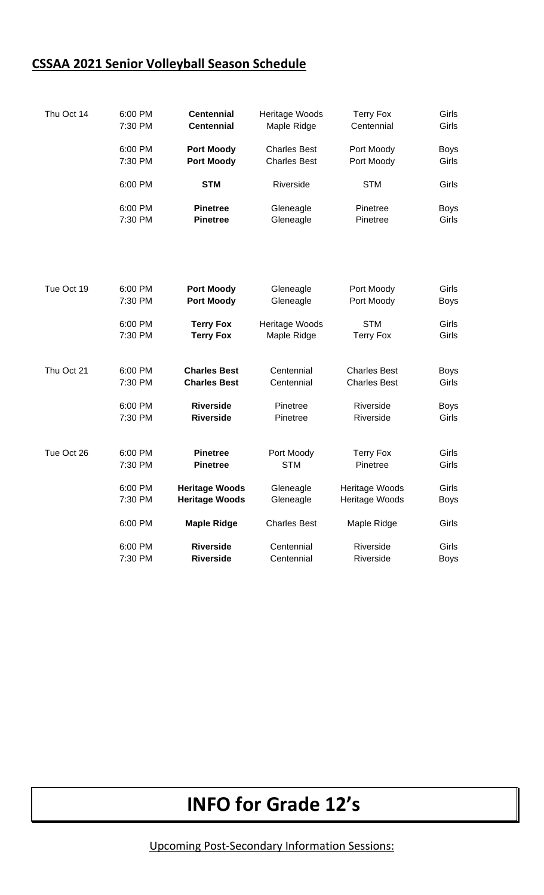### **CSSAA 2021 Senior Volleyball Season Schedule**

| Thu Oct 14 | 6:00 PM | <b>Centennial</b>     | Heritage Woods      | <b>Terry Fox</b>    | Girls       |
|------------|---------|-----------------------|---------------------|---------------------|-------------|
|            | 7:30 PM | <b>Centennial</b>     | Maple Ridge         | Centennial          | Girls       |
|            | 6:00 PM | <b>Port Moody</b>     | <b>Charles Best</b> | Port Moody          | <b>Boys</b> |
|            | 7:30 PM | <b>Port Moody</b>     | <b>Charles Best</b> | Port Moody          | Girls       |
|            | 6:00 PM | <b>STM</b>            | Riverside           | <b>STM</b>          | Girls       |
|            | 6:00 PM | <b>Pinetree</b>       | Gleneagle           | Pinetree            | <b>Boys</b> |
|            | 7:30 PM | <b>Pinetree</b>       | Gleneagle           | Pinetree            | Girls       |
| Tue Oct 19 | 6:00 PM | <b>Port Moody</b>     | Gleneagle           | Port Moody          | Girls       |
|            | 7:30 PM | <b>Port Moody</b>     | Gleneagle           | Port Moody          | <b>Boys</b> |
|            | 6:00 PM | <b>Terry Fox</b>      | Heritage Woods      | <b>STM</b>          | Girls       |
|            | 7:30 PM | <b>Terry Fox</b>      | Maple Ridge         | <b>Terry Fox</b>    | Girls       |
| Thu Oct 21 | 6:00 PM | <b>Charles Best</b>   | Centennial          | <b>Charles Best</b> | <b>Boys</b> |
|            | 7:30 PM | <b>Charles Best</b>   | Centennial          | <b>Charles Best</b> | Girls       |
|            | 6:00 PM | <b>Riverside</b>      | Pinetree            | Riverside           | <b>Boys</b> |
| Tue Oct 26 | 7:30 PM | <b>Riverside</b>      | Pinetree            | Riverside           | Girls       |
|            | 6:00 PM | <b>Pinetree</b>       | Port Moody          | <b>Terry Fox</b>    | Girls       |
|            | 7:30 PM | <b>Pinetree</b>       | <b>STM</b>          | Pinetree            | Girls       |
|            | 6:00 PM | <b>Heritage Woods</b> | Gleneagle           | Heritage Woods      | Girls       |
|            | 7:30 PM | <b>Heritage Woods</b> | Gleneagle           | Heritage Woods      | <b>Boys</b> |
|            | 6:00 PM | <b>Maple Ridge</b>    | <b>Charles Best</b> | Maple Ridge         | Girls       |
|            | 6:00 PM | <b>Riverside</b>      | Centennial          | Riverside           | Girls       |
|            | 7:30 PM | <b>Riverside</b>      | Centennial          | Riverside           | <b>Boys</b> |

# **INFO for Grade 12's**

Upcoming Post-Secondary Information Sessions: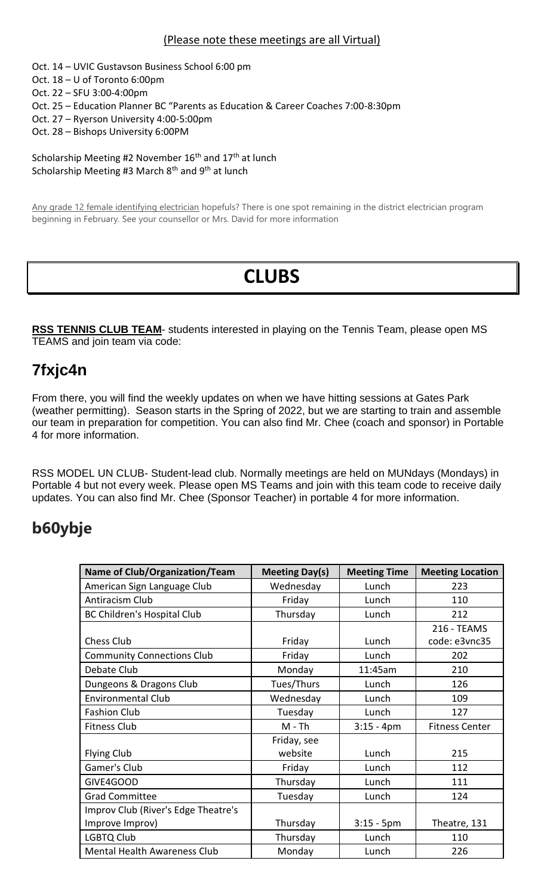#### (Please note these meetings are all Virtual)

- Oct. 14 UVIC Gustavson Business School 6:00 pm
- Oct. 18 U of Toronto 6:00pm
- Oct. 22 SFU 3:00-4:00pm
- Oct. 25 Education Planner BC "Parents as Education & Career Coaches 7:00-8:30pm
- Oct. 27 Ryerson University 4:00-5:00pm
- Oct. 28 Bishops University 6:00PM

Scholarship Meeting #2 November  $16<sup>th</sup>$  and  $17<sup>th</sup>$  at lunch Scholarship Meeting #3 March  $8<sup>th</sup>$  and  $9<sup>th</sup>$  at lunch

Any grade 12 female identifying electrician hopefuls? There is one spot remaining in the district electrician program beginning in February. See your counsellor or Mrs. David for more information

# **CLUBS**

**RSS TENNIS CLUB TEAM**- students interested in playing on the Tennis Team, please open MS TEAMS and join team via code:

#### **7fxjc4n**

From there, you will find the weekly updates on when we have hitting sessions at Gates Park (weather permitting). Season starts in the Spring of 2022, but we are starting to train and assemble our team in preparation for competition. You can also find Mr. Chee (coach and sponsor) in Portable 4 for more information.

RSS MODEL UN CLUB- Student-lead club. Normally meetings are held on MUNdays (Mondays) in Portable 4 but not every week. Please open MS Teams and join with this team code to receive daily updates. You can also find Mr. Chee (Sponsor Teacher) in portable 4 for more information.

### **b60ybje**

| <b>Name of Club/Organization/Team</b> | <b>Meeting Day(s)</b> | <b>Meeting Time</b> | <b>Meeting Location</b> |
|---------------------------------------|-----------------------|---------------------|-------------------------|
| American Sign Language Club           | Wednesday             | Lunch               | 223                     |
| Antiracism Club                       | Friday                | Lunch               | 110                     |
| <b>BC Children's Hospital Club</b>    | Thursday              | Lunch               | 212                     |
|                                       |                       |                     | 216 - TEAMS             |
| <b>Chess Club</b>                     | Friday                | Lunch               | code: e3vnc35           |
| <b>Community Connections Club</b>     | Friday                | Lunch               | 202                     |
| Debate Club                           | Monday                | 11:45am             | 210                     |
| Dungeons & Dragons Club               | Tues/Thurs            | Lunch               | 126                     |
| <b>Environmental Club</b>             | Wednesday             | Lunch               | 109                     |
| <b>Fashion Club</b>                   | Tuesday               | Lunch               | 127                     |
| <b>Fitness Club</b>                   | $M - Th$              | $3:15 - 4pm$        | <b>Fitness Center</b>   |
|                                       | Friday, see           |                     |                         |
| <b>Flying Club</b>                    | website               | Lunch               | 215                     |
| Gamer's Club                          | Friday                | Lunch               | 112                     |
| GIVE4GOOD                             | Thursday              | Lunch               | 111                     |
| <b>Grad Committee</b>                 | Tuesday               | Lunch               | 124                     |
| Improv Club (River's Edge Theatre's   |                       |                     |                         |
| Improve Improv)                       | Thursday              | $3:15 - 5p$ m       | Theatre, 131            |
| <b>LGBTQ Club</b>                     | Thursday              | Lunch               | 110                     |
| <b>Mental Health Awareness Club</b>   | Monday                | Lunch               | 226                     |